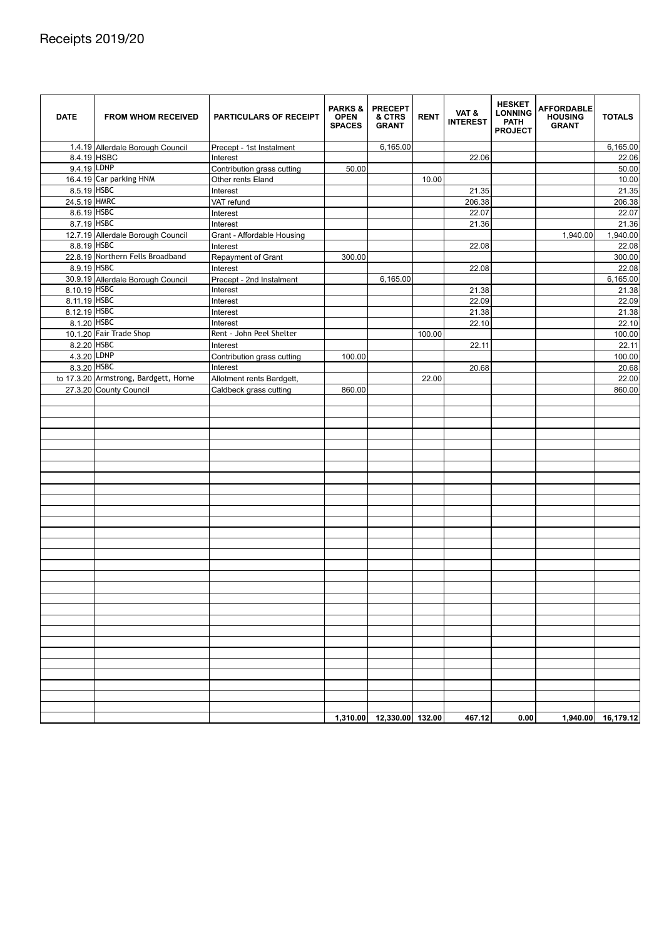| <b>DATE</b>  | <b>FROM WHOM RECEIVED</b>             | <b>PARTICULARS OF RECEIPT</b> | <b>PARKS &amp;</b><br><b>OPEN</b><br><b>SPACES</b> | <b>PRECEPT</b><br>& CTRS<br><b>GRANT</b> | <b>RENT</b> | VAT&<br><b>INTEREST</b> | <b>HESKET</b><br><b>LONNING</b><br><b>PATH</b><br><b>PROJECT</b> | <b>AFFORDABLE</b><br><b>HOUSING</b><br><b>GRANT</b> | <b>TOTALS</b> |
|--------------|---------------------------------------|-------------------------------|----------------------------------------------------|------------------------------------------|-------------|-------------------------|------------------------------------------------------------------|-----------------------------------------------------|---------------|
|              | 1.4.19 Allerdale Borough Council      | Precept - 1st Instalment      |                                                    | 6,165.00                                 |             |                         |                                                                  |                                                     | 6,165.00      |
|              | 8.4.19 HSBC                           | Interest                      |                                                    |                                          |             | 22.06                   |                                                                  |                                                     | 22.06         |
| 9.4.19 LDNP  |                                       | Contribution grass cutting    | 50.00                                              |                                          |             |                         |                                                                  |                                                     | 50.00         |
|              | 16.4.19 Car parking HNM               | Other rents Eland             |                                                    |                                          | 10.00       |                         |                                                                  |                                                     | 10.00         |
| 8.5.19 HSBC  |                                       | Interest                      |                                                    |                                          |             | 21.35                   |                                                                  |                                                     | 21.35         |
| 24.5.19 HMRC |                                       | VAT refund                    |                                                    |                                          |             | 206.38                  |                                                                  |                                                     | 206.38        |
| 8.6.19 HSBC  |                                       | Interest                      |                                                    |                                          |             | 22.07                   |                                                                  |                                                     | 22.07         |
| 8.7.19 HSBC  |                                       | Interest                      |                                                    |                                          |             | 21.36                   |                                                                  |                                                     | 21.36         |
|              | 12.7.19 Allerdale Borough Council     | Grant - Affordable Housing    |                                                    |                                          |             |                         |                                                                  | 1,940.00                                            | 1,940.00      |
| 8.8.19 HSBC  |                                       | Interest                      |                                                    |                                          |             | 22.08                   |                                                                  |                                                     | 22.08         |
|              | 22.8.19 Northern Fells Broadband      | Repayment of Grant            | 300.00                                             |                                          |             |                         |                                                                  |                                                     | 300.00        |
| 8.9.19 HSBC  |                                       | Interest                      |                                                    |                                          |             | 22.08                   |                                                                  |                                                     | 22.08         |
|              | 30.9.19 Allerdale Borough Council     | Precept - 2nd Instalment      |                                                    | 6,165.00                                 |             |                         |                                                                  |                                                     | 6,165.00      |
| 8.10.19 HSBC |                                       | Interest                      |                                                    |                                          |             | 21.38                   |                                                                  |                                                     | 21.38         |
| 8.11.19 HSBC |                                       | Interest                      |                                                    |                                          |             | 22.09                   |                                                                  |                                                     | 22.09         |
| 8.12.19 HSBC |                                       | Interest                      |                                                    |                                          |             | 21.38                   |                                                                  |                                                     | 21.38         |
| 8.1.20 HSBC  |                                       | Interest                      |                                                    |                                          |             | 22.10                   |                                                                  |                                                     | 22.10         |
|              | 10.1.20 Fair Trade Shop               | Rent - John Peel Shelter      |                                                    |                                          | 100.00      |                         |                                                                  |                                                     | 100.00        |
| 8.2.20 HSBC  |                                       | Interest                      |                                                    |                                          |             | 22.11                   |                                                                  |                                                     | 22.11         |
| 4.3.20 LDNP  |                                       | Contribution grass cutting    | 100.00                                             |                                          |             |                         |                                                                  |                                                     | 100.00        |
| 8.3.20 HSBC  |                                       | Interest                      |                                                    |                                          |             | 20.68                   |                                                                  |                                                     | 20.68         |
|              | to 17.3.20 Armstrong, Bardgett, Horne | Allotment rents Bardgett,     |                                                    |                                          | 22.00       |                         |                                                                  |                                                     | 22.00         |
|              | 27.3.20 County Council                | Caldbeck grass cutting        | 860.00                                             |                                          |             |                         |                                                                  |                                                     | 860.00        |
|              |                                       |                               |                                                    |                                          |             |                         |                                                                  |                                                     |               |
|              |                                       |                               |                                                    |                                          |             |                         |                                                                  |                                                     |               |
|              |                                       |                               |                                                    |                                          |             |                         |                                                                  |                                                     |               |
|              |                                       |                               |                                                    |                                          |             |                         |                                                                  |                                                     |               |
|              |                                       |                               |                                                    |                                          |             |                         |                                                                  |                                                     |               |
|              |                                       |                               |                                                    |                                          |             |                         |                                                                  |                                                     |               |
|              |                                       |                               |                                                    |                                          |             |                         |                                                                  |                                                     |               |
|              |                                       |                               |                                                    |                                          |             |                         |                                                                  |                                                     |               |
|              |                                       |                               |                                                    |                                          |             |                         |                                                                  |                                                     |               |
|              |                                       |                               |                                                    |                                          |             |                         |                                                                  |                                                     |               |
|              |                                       |                               |                                                    |                                          |             |                         |                                                                  |                                                     |               |
|              |                                       |                               |                                                    |                                          |             |                         |                                                                  |                                                     |               |
|              |                                       |                               |                                                    |                                          |             |                         |                                                                  |                                                     |               |
|              |                                       |                               |                                                    |                                          |             |                         |                                                                  |                                                     |               |
|              |                                       |                               |                                                    |                                          |             |                         |                                                                  |                                                     |               |
|              |                                       |                               |                                                    |                                          |             |                         |                                                                  |                                                     |               |
|              |                                       |                               |                                                    |                                          |             |                         |                                                                  |                                                     |               |
|              |                                       |                               |                                                    |                                          |             |                         |                                                                  |                                                     |               |
|              |                                       |                               |                                                    |                                          |             |                         |                                                                  |                                                     |               |
|              |                                       |                               |                                                    |                                          |             |                         |                                                                  |                                                     |               |
|              |                                       |                               |                                                    |                                          |             |                         |                                                                  |                                                     |               |
|              |                                       |                               |                                                    |                                          |             |                         |                                                                  |                                                     |               |
|              |                                       |                               |                                                    |                                          |             |                         |                                                                  |                                                     |               |
|              |                                       |                               |                                                    |                                          |             |                         |                                                                  |                                                     |               |
|              |                                       |                               |                                                    |                                          |             |                         |                                                                  |                                                     |               |
|              |                                       |                               |                                                    |                                          |             |                         |                                                                  |                                                     |               |
|              |                                       |                               |                                                    |                                          |             |                         |                                                                  |                                                     |               |
|              |                                       |                               |                                                    |                                          |             |                         |                                                                  |                                                     |               |
|              |                                       |                               |                                                    |                                          |             |                         |                                                                  |                                                     |               |

## Receipts 2019/20